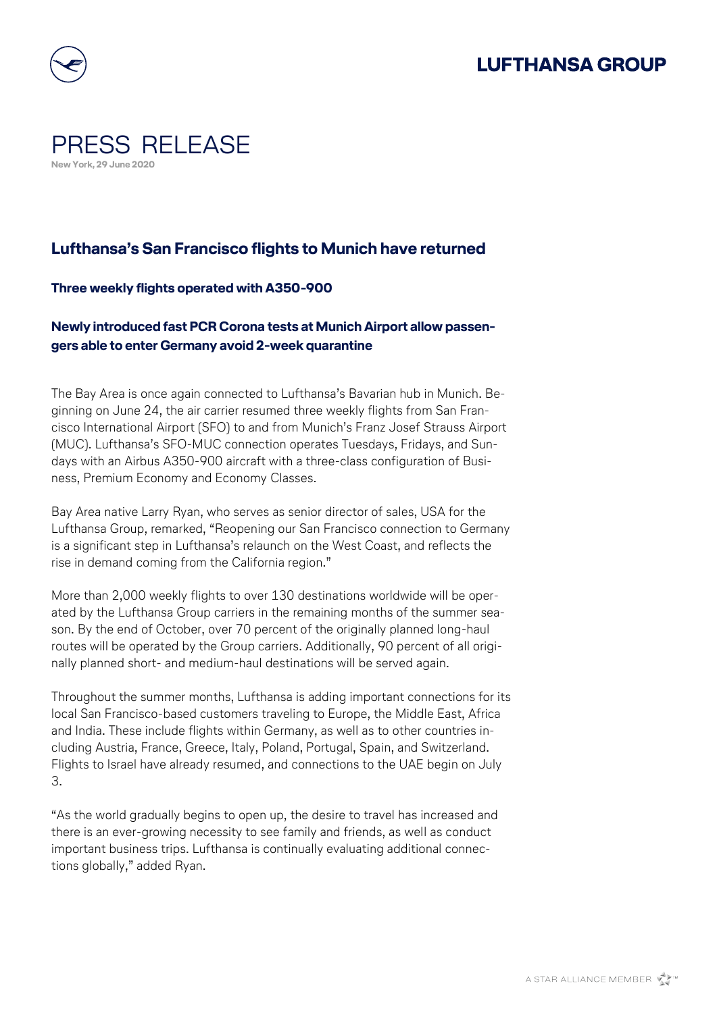

## PRESS RELEASE **New York, 29 June 2020**

### **Lufthansa's San Francisco flights to Munich have returned**

### **Three weekly flights operated with A350-900**

### **Newly introduced fast PCR Corona tests at Munich Airport allow passengers able to enter Germany avoid 2-week quarantine**

The Bay Area is once again connected to Lufthansa's Bavarian hub in Munich. Beginning on June 24, the air carrier resumed three weekly flights from San Francisco International Airport (SFO) to and from Munich's Franz Josef Strauss Airport (MUC). Lufthansa's SFO-MUC connection operates Tuesdays, Fridays, and Sundays with an Airbus A350-900 aircraft with a three-class configuration of Business, Premium Economy and Economy Classes.

Bay Area native Larry Ryan, who serves as senior director of sales, USA for the Lufthansa Group, remarked, "Reopening our San Francisco connection to Germany is a significant step in Lufthansa's relaunch on the West Coast, and reflects the rise in demand coming from the California region."

More than 2,000 weekly flights to over 130 destinations worldwide will be operated by the Lufthansa Group carriers in the remaining months of the summer season. By the end of October, over 70 percent of the originally planned long-haul routes will be operated by the Group carriers. Additionally, 90 percent of all originally planned short- and medium-haul destinations will be served again.

Throughout the summer months, Lufthansa is adding important connections for its local San Francisco-based customers traveling to Europe, the Middle East, Africa and India. These include flights within Germany, as well as to other countries including Austria, France, Greece, Italy, Poland, Portugal, Spain, and Switzerland. Flights to Israel have already resumed, and connections to the UAE begin on July 3.

"As the world gradually begins to open up, the desire to travel has increased and there is an ever-growing necessity to see family and friends, as well as conduct important business trips. Lufthansa is continually evaluating additional connections globally," added Ryan.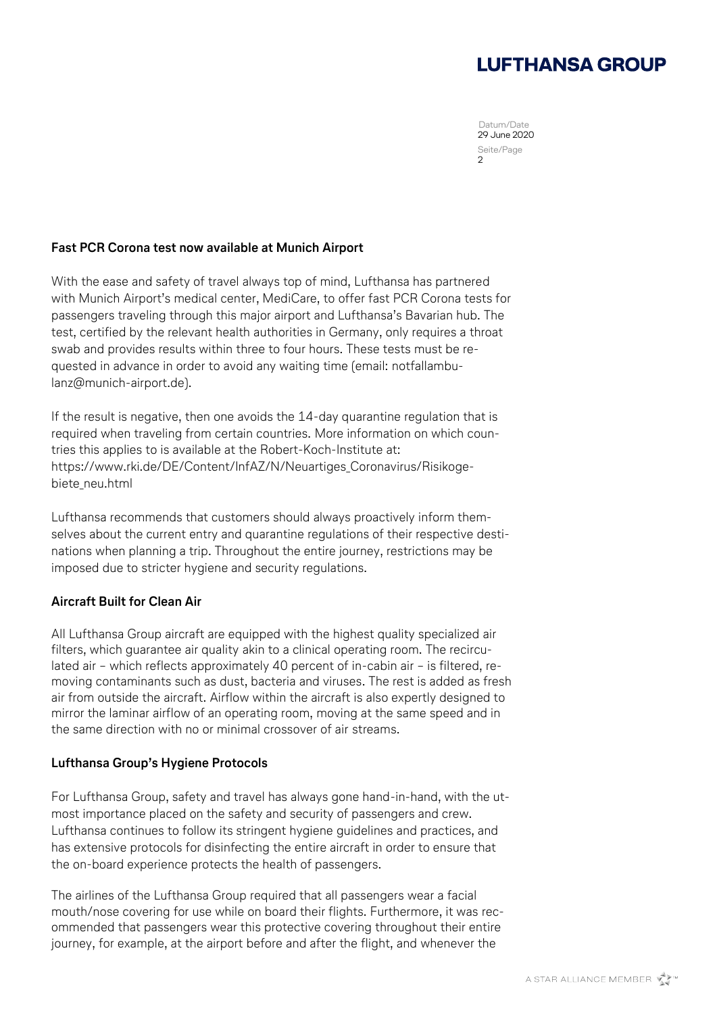# **LUFTHANSA GROUP**

Datum/Date 29 June 2020 Seite/Page 2

#### **Fast PCR Corona test now available at Munich Airport**

With the ease and safety of travel always top of mind, Lufthansa has partnered with Munich Airport's medical center, MediCare, to offer fast PCR Corona tests for passengers traveling through this major airport and Lufthansa's Bavarian hub. The test, certified by the relevant health authorities in Germany, only requires a throat swab and provides results within three to four hours. These tests must be requested in advance in order to avoid any waiting time (email: [notfallambu](mailto:notfallambulanz@munich-airport.de)[lanz@munich-airport.de\)](mailto:notfallambulanz@munich-airport.de).

If the result is negative, then one avoids the 14-day quarantine regulation that is required when traveling from certain countries. More information on which countries this applies to is available at the Robert-Koch-Institute at: [https://www.rki.de/DE/Content/InfAZ/N/Neuartiges\\_Coronavirus/Risikoge](https://www.rki.de/DE/Content/InfAZ/N/Neuartiges_Coronavirus/Risikogebiete_neu.html)[biete\\_neu.html](https://www.rki.de/DE/Content/InfAZ/N/Neuartiges_Coronavirus/Risikogebiete_neu.html)

Lufthansa recommends that customers should always proactively inform themselves about the current entry and quarantine regulations of their respective destinations when planning a trip. Throughout the entire journey, restrictions may be imposed due to stricter hygiene and security regulations.

### **Aircraft Built for Clean Air**

All Lufthansa Group aircraft are equipped with the highest quality specialized air filters, which guarantee air quality akin to a clinical operating room. The recirculated air – which reflects approximately 40 percent of in-cabin air – is filtered, removing contaminants such as dust, bacteria and viruses. The rest is added as fresh air from outside the aircraft. Airflow within the aircraft is also expertly designed to mirror the laminar airflow of an operating room, moving at the same speed and in the same direction with no or minimal crossover of air streams.

### **Lufthansa Group's Hygiene Protocols**

For Lufthansa Group, safety and travel has always gone hand-in-hand, with the utmost importance placed on the safety and security of passengers and crew. Lufthansa continues to follow its stringent hygiene guidelines and practices, and has extensive protocols for disinfecting the entire aircraft in order to ensure that the on-board experience protects the health of passengers.

The airlines of the Lufthansa Group required that all passengers wear a facial mouth/nose covering for use while on board their flights. Furthermore, it was recommended that passengers wear this protective covering throughout their entire journey, for example, at the airport before and after the flight, and whenever the